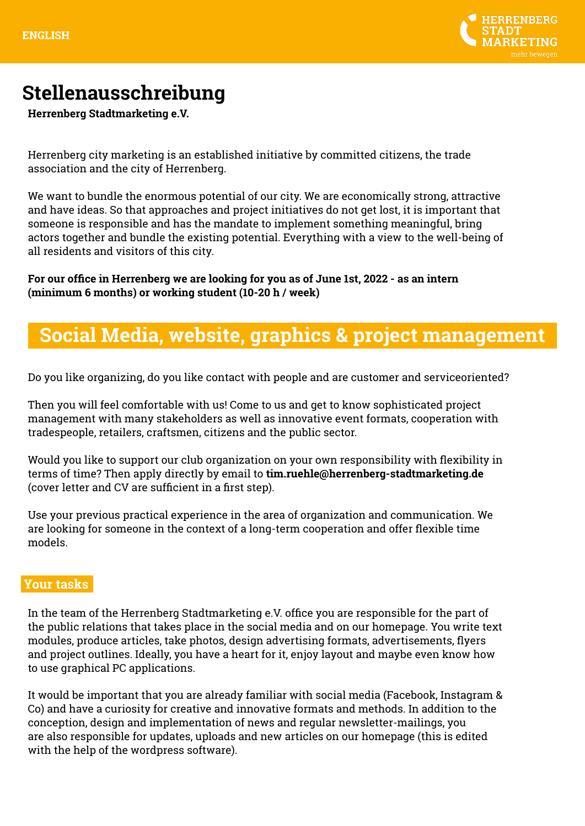

# **Stellenausschreibung**

**Herrenberg Stadtmarketing e.V.**

Herrenberg city marketing is an established initiative by committed citizens, the trade association and the city of Herrenberg.

We want to bundle the enormous potential of our city. We are economically strong, attractive and have ideas. So that approaches and project initiatives do not get lost, it is important that someone is responsible and has the mandate to implement something meaningful, bring actors together and bundle the existing potential. Everything with a view to the well-being of all residents and visitors of this city.

**For our office in Herrenberg we are looking for you as of June 1st, 2022 - as an intern (minimum 6 months) or working student (10-20 h / week)**

## **Social Media, website, graphics & project management**

Do you like organizing, do you like contact with people and are customer and serviceoriented?

Then you will feel comfortable with us! Come to us and get to know sophisticated project management with many stakeholders as well as innovative event formats, cooperation with tradespeople, retailers, craftsmen, citizens and the public sector.

Would you like to support our club organization on your own responsibility with flexibility in terms of time? Then apply directly by email to **tim.ruehle@herrenberg-stadtmarketing.de** (cover letter and CV are sufficient in a first step).

Use your previous practical experience in the area of organization and communication. We are looking for someone in the context of a long-term cooperation and offer flexible time models.

#### **Your tasks**

In the team of the Herrenberg Stadtmarketing e.V. office you are responsible for the part of the public relations that takes place in the social media and on our homepage. You write text modules, produce articles, take photos, design advertising formats, advertisements, flyers and project outlines. Ideally, you have a heart for it, enjoy layout and maybe even know how to use graphical PC applications.

It would be important that you are already familiar with social media (Facebook, Instagram & Co) and have a curiosity for creative and innovative formats and methods. In addition to the conception, design and implementation of news and regular newsletter-mailings, you are also responsible for updates, uploads and new articles on our homepage (this is edited with the help of the wordpress software).